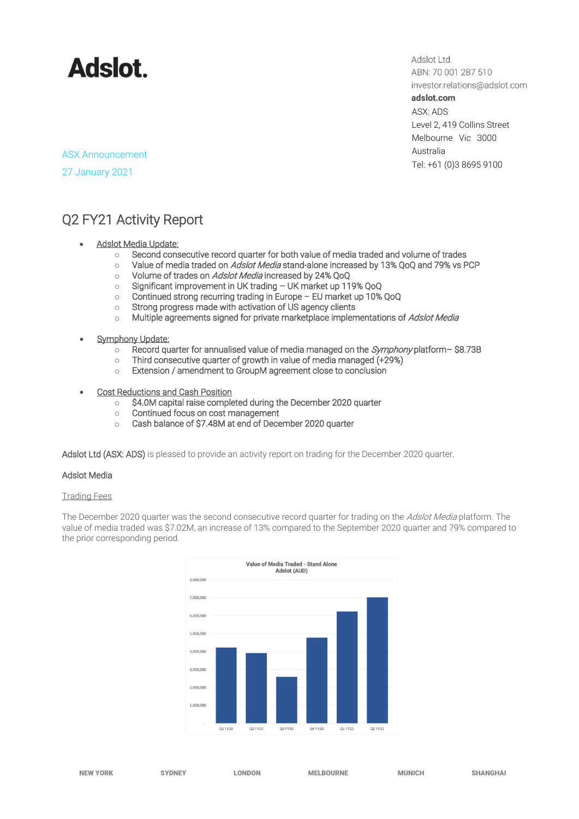

Adslot Ltd. ABN: 70 001 287 510 investor.relations@adslot.com adslot.com ASX: ADS Level 2, 419 Collins Street Melbourne Vic 3000 Australia

Tel: +61 (0)3 8695 9100

### ASX Announcement

27 January 2021

### Q2 FY21 Activity Report

- **Adslot Media Update:** 
	- o Second consecutive record quarter for both value of media traded and volume of trades
	- $\circ$  Value of media traded on *Adslot Media* stand-alone increased by 13% QoQ and 79% vs PCP
	- o Volume of trades on Adslot Media increased by 24% QoQ
	- o Significant improvement in UK trading UK market up 119% QoQ
	- o Continued strong recurring trading in Europe EU market up 10% QoQ
	- o Strong progress made with activation of US agency clients
	- $\circ$  Multiple agreements signed for private marketplace implementations of Adslot Media
- **Symphony Update:** 
	- $\circ$  Record quarter for annualised value of media managed on the *Symphony* platform– \$8.73B
	- o Third consecutive quarter of growth in value of media managed (+29%)
	- o Extension / amendment to GroupM agreement close to conclusion
- Cost Reductions and Cash Position
	- o \$4.0M capital raise completed during the December 2020 quarter
	- o Continued focus on cost management
	- o Cash balance of \$7.48M at end of December 2020 quarter

Adslot Ltd (ASX: ADS) is pleased to provide an activity report on trading for the December 2020 quarter.

### Adslot Media

#### Trading Fees

The December 2020 quarter was the second consecutive record quarter for trading on the Adslot Media platform. The value of media traded was \$7.02M, an increase of 13% compared to the September 2020 quarter and 79% compared to the prior corresponding period.

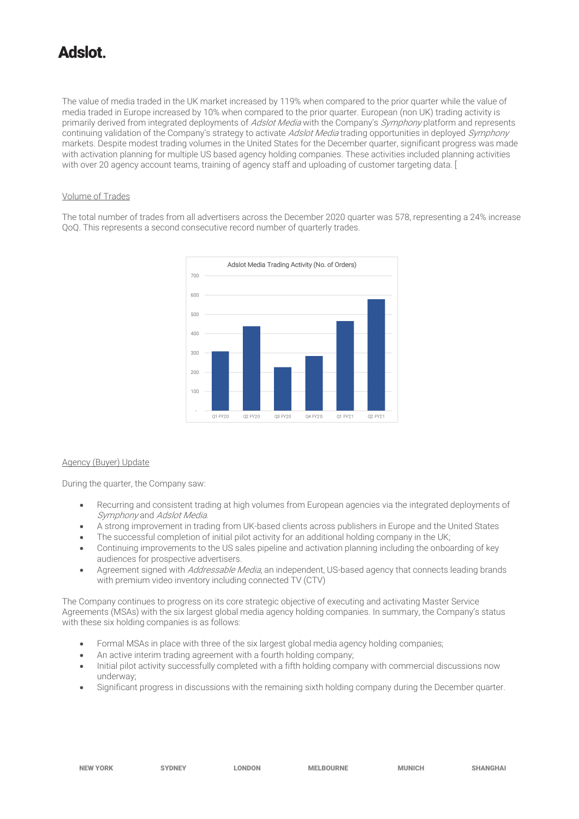## tolahA

The value of media traded in the UK market increased by 119% when compared to the prior quarter while the value of media traded in Europe increased by 10% when compared to the prior quarter. European (non UK) trading activity is primarily derived from integrated deployments of Adslot Media with the Company's Symphony platform and represents continuing validation of the Company's strategy to activate Adslot Media trading opportunities in deployed Symphony markets. Despite modest trading volumes in the United States for the December quarter, significant progress was made with activation planning for multiple US based agency holding companies. These activities included planning activities with over 20 agency account teams, training of agency staff and uploading of customer targeting data. [

#### Volume of Trades

The total number of trades from all advertisers across the December 2020 quarter was 578, representing a 24% increase QoQ. This represents a second consecutive record number of quarterly trades.



#### Agency (Buyer) Update

During the quarter, the Company saw:

- Recurring and consistent trading at high volumes from European agencies via the integrated deployments of Symphony and Adslot Media.
- A strong improvement in trading from UK-based clients across publishers in Europe and the United States
- The successful completion of initial pilot activity for an additional holding company in the UK;
- Continuing improvements to the US sales pipeline and activation planning including the onboarding of key audiences for prospective advertisers.
- Agreement signed with *Addressable Media*, an independent, US-based agency that connects leading brands with premium video inventory including connected TV (CTV)

The Company continues to progress on its core strategic objective of executing and activating Master Service Agreements (MSAs) with the six largest global media agency holding companies. In summary, the Company's status with these six holding companies is as follows:

- Formal MSAs in place with three of the six largest global media agency holding companies;
- An active interim trading agreement with a fourth holding company;
- Initial pilot activity successfully completed with a fifth holding company with commercial discussions now underway;
- Significant progress in discussions with the remaining sixth holding company during the December quarter.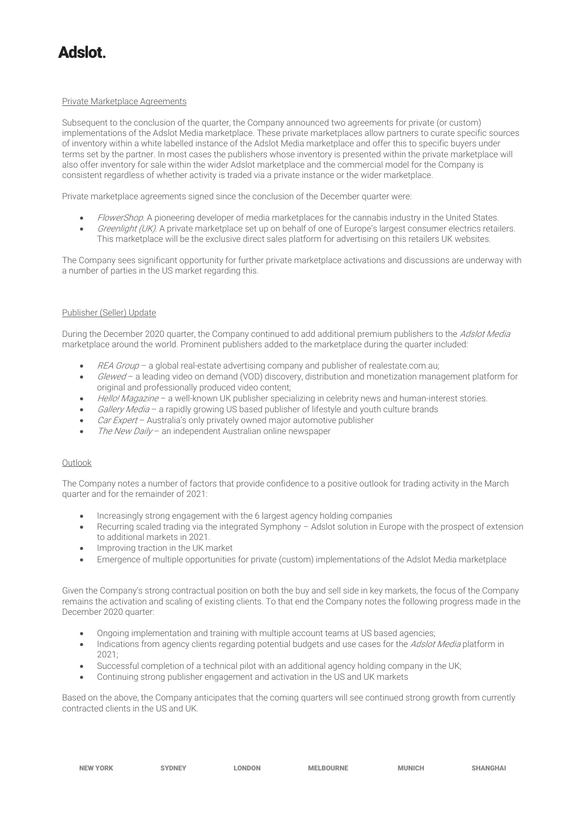# tolehA

#### Private Marketplace Agreements

Subsequent to the conclusion of the quarter, the Company announced two agreements for private (or custom) implementations of the Adslot Media marketplace. These private marketplaces allow partners to curate specific sources of inventory within a white labelled instance of the Adslot Media marketplace and offer this to specific buyers under terms set by the partner. In most cases the publishers whose inventory is presented within the private marketplace will also offer inventory for sale within the wider Adslot marketplace and the commercial model for the Company is consistent regardless of whether activity is traded via a private instance or the wider marketplace.

Private marketplace agreements signed since the conclusion of the December quarter were:

- FlowerShop. A pioneering developer of media marketplaces for the cannabis industry in the United States.
- Greenlight (UK). A private marketplace set up on behalf of one of Europe's largest consumer electrics retailers. This marketplace will be the exclusive direct sales platform for advertising on this retailers UK websites.

The Company sees significant opportunity for further private marketplace activations and discussions are underway with a number of parties in the US market regarding this.

#### Publisher (Seller) Update

During the December 2020 quarter, the Company continued to add additional premium publishers to the Adslot Media marketplace around the world. Prominent publishers added to the marketplace during the quarter included:

- $REA Group a global real-estate advertising company and publisher of realestate.com.au;$
- Glewed a leading video on demand (VOD) discovery, distribution and monetization management platform for original and professionally produced video content;
- Hello! Magazine a well-known UK publisher specializing in celebrity news and human-interest stories.
- Gallery Media a rapidly growing US based publisher of lifestyle and youth culture brands
- Car Expert Australia's only privately owned major automotive publisher
- The New Daily an independent Australian online newspaper

#### Outlook

The Company notes a number of factors that provide confidence to a positive outlook for trading activity in the March quarter and for the remainder of 2021:

- Increasingly strong engagement with the 6 largest agency holding companies
- Recurring scaled trading via the integrated Symphony Adslot solution in Europe with the prospect of extension to additional markets in 2021.
- Improving traction in the UK market
- Emergence of multiple opportunities for private (custom) implementations of the Adslot Media marketplace

Given the Company's strong contractual position on both the buy and sell side in key markets, the focus of the Company remains the activation and scaling of existing clients. To that end the Company notes the following progress made in the December 2020 quarter:

- Ongoing implementation and training with multiple account teams at US based agencies;
- Indications from agency clients regarding potential budgets and use cases for the Adslot Media platform in 2021;
- Successful completion of a technical pilot with an additional agency holding company in the UK;
- Continuing strong publisher engagement and activation in the US and UK markets

Based on the above, the Company anticipates that the coming quarters will see continued strong growth from currently contracted clients in the US and UK.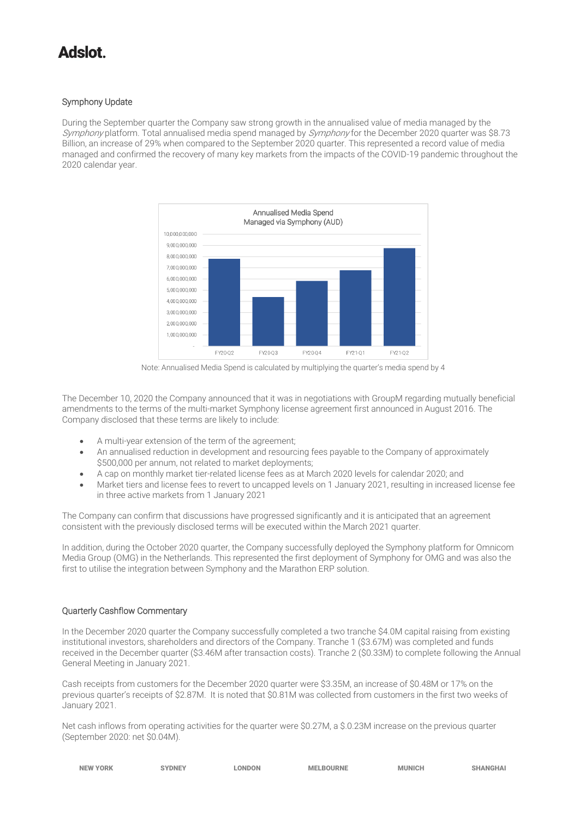## tolahA

#### Symphony Update

During the September quarter the Company saw strong growth in the annualised value of media managed by the Symphony platform. Total annualised media spend managed by Symphony for the December 2020 quarter was \$8.73 Billion, an increase of 29% when compared to the September 2020 quarter. This represented a record value of media managed and confirmed the recovery of many key markets from the impacts of the COVID-19 pandemic throughout the 2020 calendar year.



Note: Annualised Media Spend is calculated by multiplying the quarter's media spend by 4

The December 10, 2020 the Company announced that it was in negotiations with GroupM regarding mutually beneficial amendments to the terms of the multi-market Symphony license agreement first announced in August 2016. The Company disclosed that these terms are likely to include:

- A multi-year extension of the term of the agreement;
- An annualised reduction in development and resourcing fees payable to the Company of approximately \$500,000 per annum, not related to market deployments;
- A cap on monthly market tier-related license fees as at March 2020 levels for calendar 2020; and
- Market tiers and license fees to revert to uncapped levels on 1 January 2021, resulting in increased license fee in three active markets from 1 January 2021

The Company can confirm that discussions have progressed significantly and it is anticipated that an agreement consistent with the previously disclosed terms will be executed within the March 2021 quarter.

In addition, during the October 2020 quarter, the Company successfully deployed the Symphony platform for Omnicom Media Group (OMG) in the Netherlands. This represented the first deployment of Symphony for OMG and was also the first to utilise the integration between Symphony and the Marathon ERP solution.

#### Quarterly Cashflow Commentary

In the December 2020 quarter the Company successfully completed a two tranche \$4.0M capital raising from existing institutional investors, shareholders and directors of the Company. Tranche 1 (\$3.67M) was completed and funds received in the December quarter (\$3.46M after transaction costs). Tranche 2 (\$0.33M) to complete following the Annual General Meeting in January 2021.

Cash receipts from customers for the December 2020 quarter were \$3.35M, an increase of \$0.48M or 17% on the previous quarter's receipts of \$2.87M. It is noted that \$0.81M was collected from customers in the first two weeks of January 2021.

Net cash inflows from operating activities for the quarter were \$0.27M, a \$.0.23M increase on the previous quarter (September 2020: net \$0.04M).

| <b>NEW YORK</b> | <b>SYDNEY</b> | <b>LONDON</b>                                                                                                   | <b>MELBOURNE</b> | <b>MUNICH</b> | <b>SHANGHAI</b> |
|-----------------|---------------|-----------------------------------------------------------------------------------------------------------------|------------------|---------------|-----------------|
|                 |               | the contract of the contract of the contract of the contract of the contract of the contract of the contract of |                  |               |                 |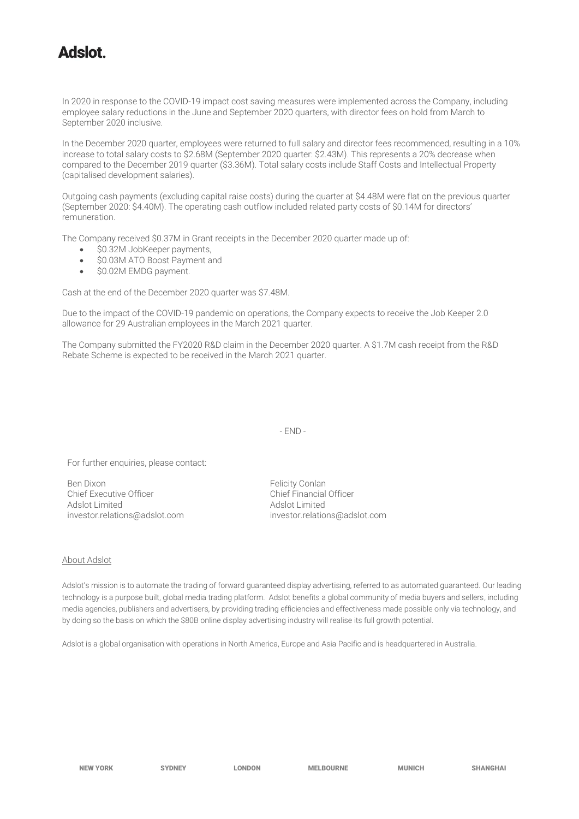### tolehA

In 2020 in response to the COVID-19 impact cost saving measures were implemented across the Company, including employee salary reductions in the June and September 2020 quarters, with director fees on hold from March to September 2020 inclusive.

In the December 2020 quarter, employees were returned to full salary and director fees recommenced, resulting in a 10% increase to total salary costs to \$2.68M (September 2020 quarter: \$2.43M). This represents a 20% decrease when compared to the December 2019 quarter (\$3.36M). Total salary costs include Staff Costs and Intellectual Property (capitalised development salaries).

Outgoing cash payments (excluding capital raise costs) during the quarter at \$4.48M were flat on the previous quarter (September 2020: \$4.40M). The operating cash outflow included related party costs of \$0.14M for directors' remuneration.

The Company received \$0.37M in Grant receipts in the December 2020 quarter made up of:

- \$0.32M JobKeeper payments,
- \$0.03M ATO Boost Payment and
- \$0.02M EMDG payment.

Cash at the end of the December 2020 quarter was \$7.48M.

Due to the impact of the COVID-19 pandemic on operations, the Company expects to receive the Job Keeper 2.0 allowance for 29 Australian employees in the March 2021 quarter.

The Company submitted the FY2020 R&D claim in the December 2020 quarter. A \$1.7M cash receipt from the R&D Rebate Scheme is expected to be received in the March 2021 quarter.

- END -

For further enquiries, please contact:

Ben Dixon<br>
Chief Executive Officer<br>
Chief Executive Officer<br>
Chief Financial Chief Executive Officer<br>
Adslot Limited<br>
Adslot Limited<br>
Adslot Limited Adslot Limited<br>
investor.relations@adslot.com<br>
investor.relatio

[investor.relations@adslot.com](mailto:info@adslot.com.au) investor.relations@adslot.com

#### About Adslot

Adslot's mission is to automate the trading of forward guaranteed display advertising, referred to as automated guaranteed. Our leading technology is a purpose built, global media trading platform. Adslot benefits a global community of media buyers and sellers, including media agencies, publishers and advertisers, by providing trading efficiencies and effectiveness made possible only via technology, and by doing so the basis on which the \$80B online display advertising industry will realise its full growth potential.

Adslot is a global organisation with operations in North America, Europe and Asia Pacific and is headquartered in Australia.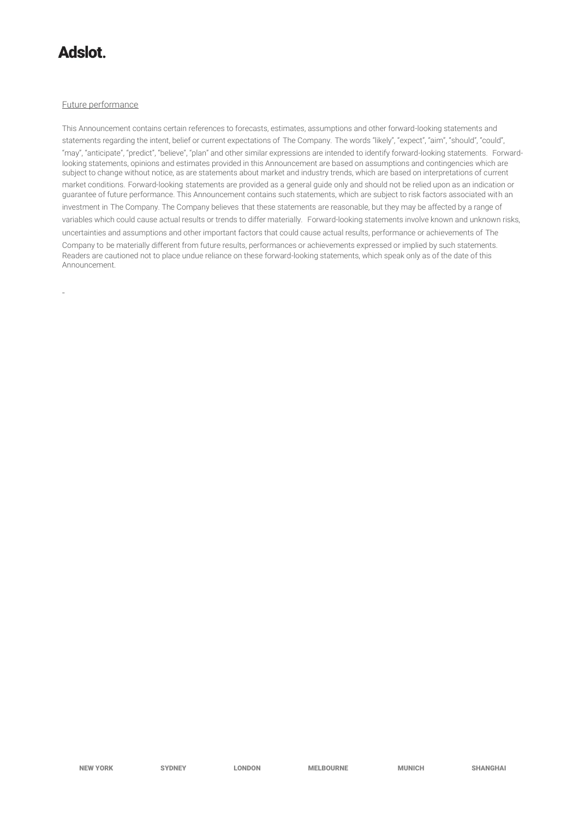## **tolahA**

-

#### Future performance

This Announcement contains certain references to forecasts, estimates, assumptions and other forward-looking statements and statements regarding the intent, belief or current expectations of The Company. The words "likely", "expect", "aim", "should", "could", "may", "anticipate", "predict", "believe", "plan" and other similar expressions are intended to identify forward-looking statements. Forwardlooking statements, opinions and estimates provided in this Announcement are based on assumptions and contingencies which are subject to change without notice, as are statements about market and industry trends, which are based on interpretations of current market conditions. Forward-looking statements are provided as a general guide only and should not be relied upon as an indication or guarantee of future performance. This Announcement contains such statements, which are subject to risk factors associated with an investment in The Company. The Company believes that these statements are reasonable, but they may be affected by a range of variables which could cause actual results or trends to differ materially. Forward-looking statements involve known and unknown risks, uncertainties and assumptions and other important factors that could cause actual results, performance or achievements of The Company to be materially different from future results, performances or achievements expressed or implied by such statements. Readers are cautioned not to place undue reliance on these forward-looking statements, which speak only as of the date of this Announcement.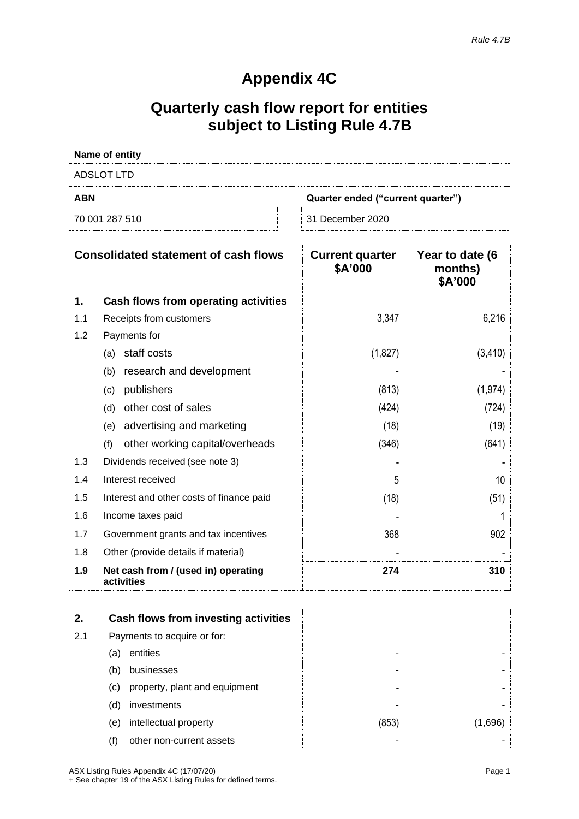### **Appendix 4C**

## **Quarterly cash flow report for entities subject to Listing Rule 4.7B**

| <b>Name of entity</b>                           |                  |  |  |
|-------------------------------------------------|------------------|--|--|
| ADSLOT LTD                                      |                  |  |  |
| <b>ABN</b><br>Quarter ended ("current quarter") |                  |  |  |
| 70 001 287 510                                  | 31 December 2020 |  |  |

|     | <b>Consolidated statement of cash flows</b>       | <b>Current quarter</b><br>\$A'000 | Year to date (6<br>months)<br>\$A'000 |
|-----|---------------------------------------------------|-----------------------------------|---------------------------------------|
| 1.  | Cash flows from operating activities              |                                   |                                       |
| 1.1 | Receipts from customers                           | 3,347                             | 6,216                                 |
| 1.2 | Payments for                                      |                                   |                                       |
|     | staff costs<br>(a)                                | (1,827)                           | (3, 410)                              |
|     | research and development<br>(b)                   |                                   |                                       |
|     | publishers<br>(c)                                 | (813)                             | (1, 974)                              |
|     | other cost of sales<br>(d)                        | (424)                             | (724)                                 |
|     | advertising and marketing<br>(e)                  | (18)                              | (19)                                  |
|     | other working capital/overheads<br>(f)            | (346)                             | (641)                                 |
| 1.3 | Dividends received (see note 3)                   |                                   |                                       |
| 1.4 | Interest received                                 | 5                                 | 10                                    |
| 1.5 | Interest and other costs of finance paid          | (18)                              | (51)                                  |
| 1.6 | Income taxes paid                                 |                                   |                                       |
| 1.7 | Government grants and tax incentives              | 368                               | 902                                   |
| 1.8 | Other (provide details if material)               |                                   |                                       |
| 1.9 | Net cash from / (used in) operating<br>activities | 274                               | 310                                   |

| 2.  |                             | Cash flows from investing activities |       |         |
|-----|-----------------------------|--------------------------------------|-------|---------|
| 2.1 | Payments to acquire or for: |                                      |       |         |
|     | (a)                         | entities                             |       |         |
|     | (b)                         | businesses                           |       |         |
|     | (C)                         | property, plant and equipment        |       |         |
|     | (d)                         | investments                          |       |         |
|     | (e)                         | intellectual property                | (853) | (1.696) |
|     | (f)                         | other non-current assets             |       |         |

ASX Listing Rules Appendix 4C (17/07/20) Page 1 + See chapter 19 of the ASX Listing Rules for defined terms.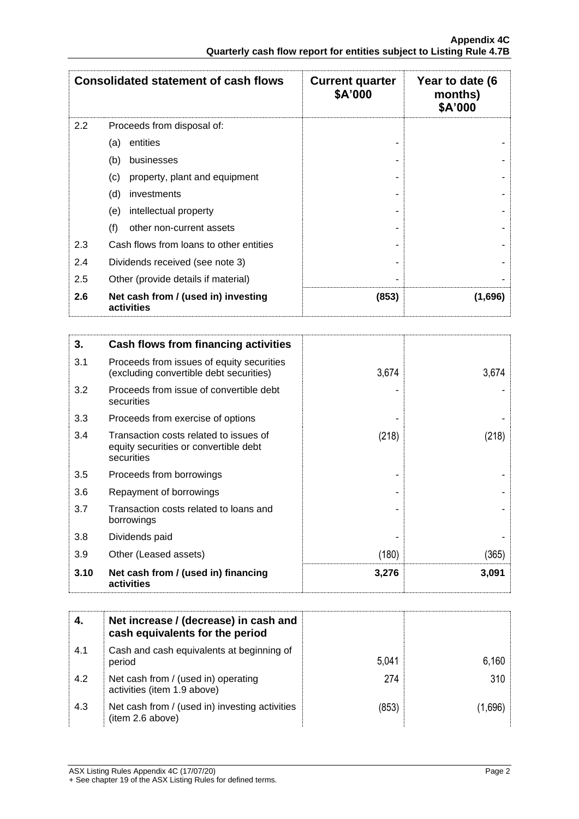|                  | <b>Consolidated statement of cash flows</b>       | <b>Current quarter</b><br>\$A'000 | Year to date (6<br>months)<br>\$A'000 |
|------------------|---------------------------------------------------|-----------------------------------|---------------------------------------|
| $2.2\phantom{0}$ | Proceeds from disposal of:                        |                                   |                                       |
|                  | entities<br>(a)                                   |                                   |                                       |
|                  | (b)<br>businesses                                 |                                   |                                       |
|                  | property, plant and equipment<br>(c)              |                                   |                                       |
|                  | (d)<br>investments                                |                                   |                                       |
|                  | intellectual property<br>(e)                      |                                   |                                       |
|                  | (f)<br>other non-current assets                   |                                   |                                       |
| 2.3              | Cash flows from loans to other entities           |                                   |                                       |
| 2.4              | Dividends received (see note 3)                   |                                   |                                       |
| 2.5              | Other (provide details if material)               |                                   |                                       |
| 2.6              | Net cash from / (used in) investing<br>activities | (853)                             | (1,696)                               |

| 3.   | Cash flows from financing activities                                                          |       |       |
|------|-----------------------------------------------------------------------------------------------|-------|-------|
| 3.1  | Proceeds from issues of equity securities<br>(excluding convertible debt securities)          | 3,674 | 3,674 |
| 3.2  | Proceeds from issue of convertible debt<br>securities                                         |       |       |
| 3.3  | Proceeds from exercise of options                                                             |       |       |
| 3.4  | Transaction costs related to issues of<br>equity securities or convertible debt<br>securities | (218) | (218) |
| 3.5  | Proceeds from borrowings                                                                      |       |       |
| 3.6  | Repayment of borrowings                                                                       |       |       |
| 3.7  | Transaction costs related to loans and<br>borrowings                                          |       |       |
| 3.8  | Dividends paid                                                                                |       |       |
| 3.9  | Other (Leased assets)                                                                         | (180) | (365) |
| 3.10 | Net cash from / (used in) financing<br>activities                                             | 3,276 | 3,091 |

|     | Net increase / (decrease) in cash and<br>cash equivalents for the period |       |       |
|-----|--------------------------------------------------------------------------|-------|-------|
| 4.1 | Cash and cash equivalents at beginning of<br>period                      | 5,041 | 6,160 |
| 4.2 | Net cash from / (used in) operating<br>activities (item 1.9 above)       | 274   | 310   |
| 4.3 | Net cash from / (used in) investing activities<br>(item 2.6 above)       | (853) | ,696` |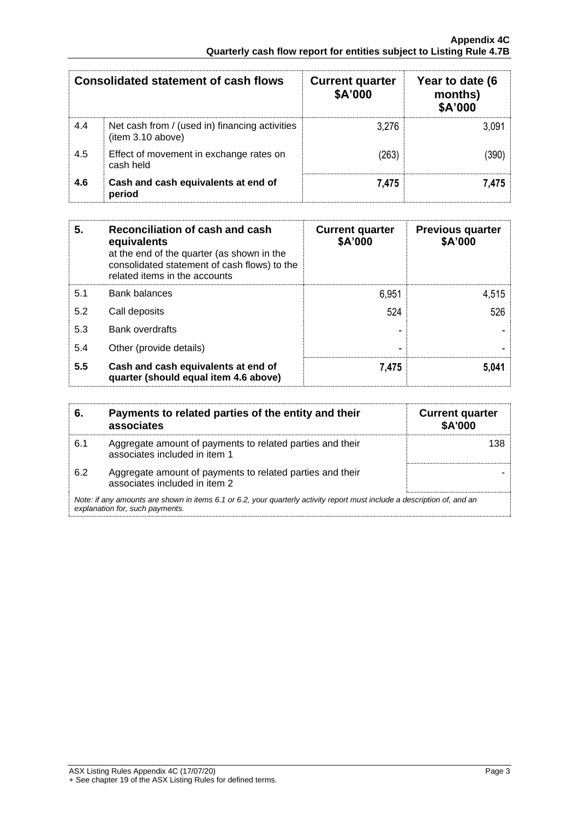|     | <b>Consolidated statement of cash flows</b>                        | <b>Current quarter</b><br>\$A'000 | Year to date (6<br>months)<br>\$A'000 |
|-----|--------------------------------------------------------------------|-----------------------------------|---------------------------------------|
| 4.4 | Net cash from / (used in) financing activities<br>item 3.10 above) | 3.276                             | 3,091                                 |
| 4.5 | Effect of movement in exchange rates on<br>cash held               | (263)                             | (390)                                 |
| 4.6 | Cash and cash equivalents at end of<br>period                      | 7,475                             | 7.475                                 |

| 5.  | Reconciliation of cash and cash<br>equivalents<br>at the end of the quarter (as shown in the<br>consolidated statement of cash flows) to the<br>related items in the accounts | <b>Current quarter</b><br>\$A'000 | <b>Previous quarter</b><br>\$A'000 |
|-----|-------------------------------------------------------------------------------------------------------------------------------------------------------------------------------|-----------------------------------|------------------------------------|
| 5.1 | <b>Bank balances</b>                                                                                                                                                          | 6,951                             | 4,515                              |
| 5.2 | Call deposits                                                                                                                                                                 | 524                               | 526                                |
| 5.3 | Bank overdrafts                                                                                                                                                               |                                   |                                    |
| 5.4 | Other (provide details)                                                                                                                                                       |                                   |                                    |
| 5.5 | Cash and cash equivalents at end of<br>quarter (should equal item 4.6 above)                                                                                                  | 7,475                             | 5.041                              |

| 6.  | Payments to related parties of the entity and their<br>associates                                                                                           | <b>Current quarter</b><br><b>\$A'000</b> |  |
|-----|-------------------------------------------------------------------------------------------------------------------------------------------------------------|------------------------------------------|--|
| 6.1 | Aggregate amount of payments to related parties and their<br>associates included in item 1                                                                  | 138                                      |  |
| 6.2 | Aggregate amount of payments to related parties and their<br>associates included in item 2                                                                  |                                          |  |
|     | Note: if any amounts are shown in items 6.1 or 6.2, your quarterly activity report must include a description of, and an<br>explanation for, such payments. |                                          |  |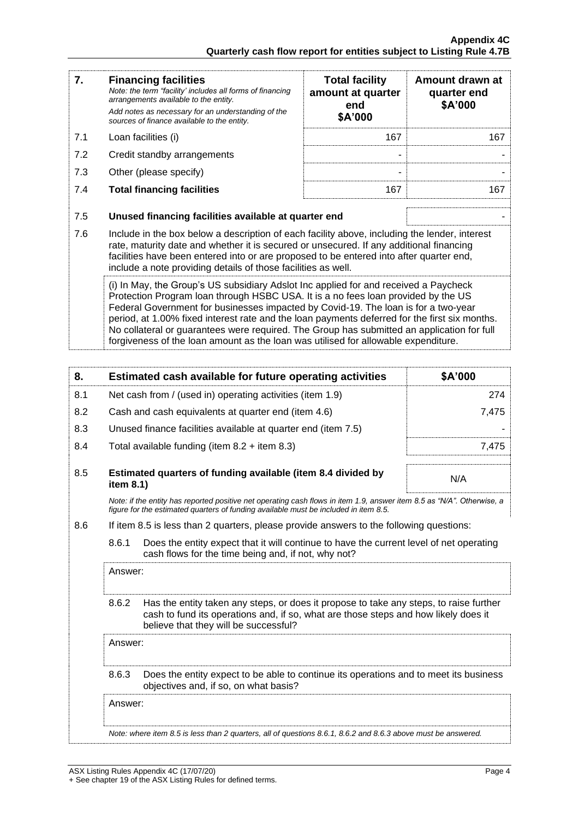| 7.                                                                                                                                                                                                                                                                                                                                                                                                                                                                                                                                                   | <b>Financing facilities</b><br>Note: the term "facility' includes all forms of financing<br>arrangements available to the entity.<br>Add notes as necessary for an understanding of the<br>sources of finance available to the entity.                                                                                                               | <b>Total facility</b><br>amount at quarter<br>end<br>\$A'000 | Amount drawn at<br>quarter end<br>\$A'000 |
|------------------------------------------------------------------------------------------------------------------------------------------------------------------------------------------------------------------------------------------------------------------------------------------------------------------------------------------------------------------------------------------------------------------------------------------------------------------------------------------------------------------------------------------------------|------------------------------------------------------------------------------------------------------------------------------------------------------------------------------------------------------------------------------------------------------------------------------------------------------------------------------------------------------|--------------------------------------------------------------|-------------------------------------------|
| 7.1                                                                                                                                                                                                                                                                                                                                                                                                                                                                                                                                                  | Loan facilities (i)                                                                                                                                                                                                                                                                                                                                  | 167                                                          | 167                                       |
| 7.2                                                                                                                                                                                                                                                                                                                                                                                                                                                                                                                                                  | Credit standby arrangements                                                                                                                                                                                                                                                                                                                          | ۰                                                            |                                           |
| 7.3                                                                                                                                                                                                                                                                                                                                                                                                                                                                                                                                                  | Other (please specify)                                                                                                                                                                                                                                                                                                                               |                                                              |                                           |
| 7.4                                                                                                                                                                                                                                                                                                                                                                                                                                                                                                                                                  | <b>Total financing facilities</b>                                                                                                                                                                                                                                                                                                                    | 167                                                          | 167                                       |
| 7.5                                                                                                                                                                                                                                                                                                                                                                                                                                                                                                                                                  | Unused financing facilities available at quarter end                                                                                                                                                                                                                                                                                                 |                                                              |                                           |
| 7.6                                                                                                                                                                                                                                                                                                                                                                                                                                                                                                                                                  | Include in the box below a description of each facility above, including the lender, interest<br>rate, maturity date and whether it is secured or unsecured. If any additional financing<br>facilities have been entered into or are proposed to be entered into after quarter end,<br>include a note providing details of those facilities as well. |                                                              |                                           |
| (i) In May, the Group's US subsidiary Adslot Inc applied for and received a Paycheck<br>Protection Program loan through HSBC USA. It is a no fees loan provided by the US<br>Federal Government for businesses impacted by Covid-19. The loan is for a two-year<br>period, at 1.00% fixed interest rate and the loan payments deferred for the first six months.<br>No collateral or guarantees were required. The Group has submitted an application for full<br>forgiveness of the loan amount as the loan was utilised for allowable expenditure. |                                                                                                                                                                                                                                                                                                                                                      |                                                              |                                           |

| 8.  | Estimated cash available for future operating activities                                                                                                                                                                        | \$A'000 |
|-----|---------------------------------------------------------------------------------------------------------------------------------------------------------------------------------------------------------------------------------|---------|
| 8.1 | Net cash from / (used in) operating activities (item 1.9)                                                                                                                                                                       | 274     |
| 8.2 | Cash and cash equivalents at quarter end (item 4.6)                                                                                                                                                                             | 7,475   |
| 8.3 | Unused finance facilities available at quarter end (item 7.5)                                                                                                                                                                   |         |
| 8.4 | Total available funding (item $8.2 +$ item $8.3$ )                                                                                                                                                                              | 7,475   |
| 8.5 | Estimated quarters of funding available (item 8.4 divided by<br>item 8.1)                                                                                                                                                       | N/A     |
|     | Note: if the entity has reported positive net operating cash flows in item 1.9, answer item 8.5 as "N/A". Otherwise, a<br>figure for the estimated quarters of funding available must be included in item 8.5.                  |         |
| 8.6 | If item 8.5 is less than 2 quarters, please provide answers to the following questions:                                                                                                                                         |         |
|     | 8.6.1<br>Does the entity expect that it will continue to have the current level of net operating<br>cash flows for the time being and, if not, why not?                                                                         |         |
|     | Answer:                                                                                                                                                                                                                         |         |
|     | 8.6.2<br>Has the entity taken any steps, or does it propose to take any steps, to raise further<br>cash to fund its operations and, if so, what are those steps and how likely does it<br>believe that they will be successful? |         |
|     | Answer:                                                                                                                                                                                                                         |         |
|     | 8.6.3<br>Does the entity expect to be able to continue its operations and to meet its business<br>objectives and, if so, on what basis?                                                                                         |         |
|     | Answer:                                                                                                                                                                                                                         |         |

*Note: where item 8.5 is less than 2 quarters, all of questions 8.6.1, 8.6.2 and 8.6.3 above must be answered.*